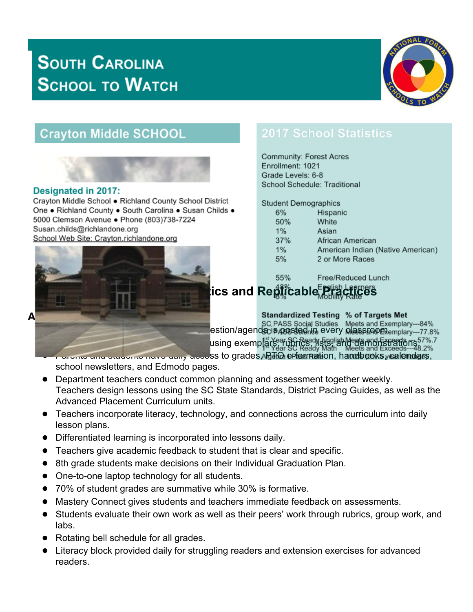# **SOUTH CAROLINA SCHOOL TO WATCH**



## **Crayton Middle SCHOOL**



#### **Designated in 2017:**

Crayton Middle School . Richland County School District One . Richland County . South Carolina . Susan Childs . 5000 Clemson Avenue . Phone (803)738-7224 Susan.childs@richlandone.org School Web Site: Crayton.richlandone.org



### **2017 School Statistics**

**Community: Forest Acres** Enrollment: 1021 Grade Levels: 6-8 School Schedule: Traditional

**Student Demographics** 

| 6%    | Hispanic                          |
|-------|-----------------------------------|
| 50%   | White                             |
| $1\%$ | Asian                             |
| 37%   | African American                  |
| 1%    | American Indian (Native American) |
| 5%    | 2 or More Races                   |
|       |                                   |

55%

Free/Reduced Lunch

## **School Characteristics and Replicable Practices**

**Standardized Testing % of Targets Met** SC PASS Social Studies Meets and Exemplary---84%<br>
estion/agendacis/posted in every classroom. using exemplarse rubrics and Exceeds and Exceeds. 7%.7<br>using exemplarse ready Math Meets and Exceeds--48.2%

and and students have daily access to grades, PRTIO e-formation, handbooks, calendars, school newsletters, and Edmodo pages.

- Department teachers conduct common planning and assessment together weekly. Teachers design lessons using the SC State Standards, District Pacing Guides, as well as the Advanced Placement Curriculum units.
- Teachers incorporate literacy, technology, and connections across the curriculum into daily lesson plans.
- Differentiated learning is incorporated into lessons daily.
- Teachers give academic feedback to student that is clear and specific.
- 8th grade students make decisions on their Individual Graduation Plan.
- One-to-one laptop technology for all students.
- 70% of student grades are summative while 30% is formative.
- Mastery Connect gives students and teachers immediate feedback on assessments.
- Students evaluate their own work as well as their peers' work through rubrics, group work, and labs.
- Rotating bell schedule for all grades.
- Literacy block provided daily for struggling readers and extension exercises for advanced readers.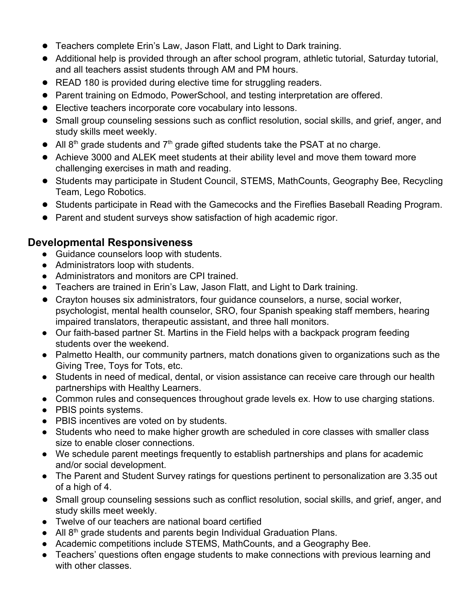- Teachers complete Erin's Law, Jason Flatt, and Light to Dark training.
- Additional help is provided through an after school program, athletic tutorial, Saturday tutorial, and all teachers assist students through AM and PM hours.
- READ 180 is provided during elective time for struggling readers.
- Parent training on Edmodo, PowerSchool, and testing interpretation are offered.
- Elective teachers incorporate core vocabulary into lessons.
- Small group counseling sessions such as conflict resolution, social skills, and grief, anger, and study skills meet weekly.
- $\bullet$  All 8<sup>th</sup> grade students and  $7<sup>th</sup>$  grade gifted students take the PSAT at no charge.
- Achieve 3000 and ALEK meet students at their ability level and move them toward more challenging exercises in math and reading.
- Students may participate in Student Council, STEMS, MathCounts, Geography Bee, Recycling Team, Lego Robotics.
- Students participate in Read with the Gamecocks and the Fireflies Baseball Reading Program.
- Parent and student surveys show satisfaction of high academic rigor.

### **Developmental Responsiveness**

- Guidance counselors loop with students.
- Administrators loop with students.
- Administrators and monitors are CPI trained.
- Teachers are trained in Erin's Law, Jason Flatt, and Light to Dark training.
- Crayton houses six administrators, four guidance counselors, a nurse, social worker, psychologist, mental health counselor, SRO, four Spanish speaking staff members, hearing impaired translators, therapeutic assistant, and three hall monitors.
- Our faith-based partner St. Martins in the Field helps with a backpack program feeding students over the weekend.
- Palmetto Health, our community partners, match donations given to organizations such as the Giving Tree, Toys for Tots, etc.
- Students in need of medical, dental, or vision assistance can receive care through our health partnerships with Healthy Learners.
- Common rules and consequences throughout grade levels ex. How to use charging stations.
- PBIS points systems.
- PBIS incentives are voted on by students.
- Students who need to make higher growth are scheduled in core classes with smaller class size to enable closer connections.
- We schedule parent meetings frequently to establish partnerships and plans for academic and/or social development.
- The Parent and Student Survey ratings for questions pertinent to personalization are 3.35 out of a high of 4.
- Small group counseling sessions such as conflict resolution, social skills, and grief, anger, and study skills meet weekly.
- Twelve of our teachers are national board certified
- All 8<sup>th</sup> grade students and parents begin Individual Graduation Plans.
- Academic competitions include STEMS, MathCounts, and a Geography Bee.
- Teachers' questions often engage students to make connections with previous learning and with other classes.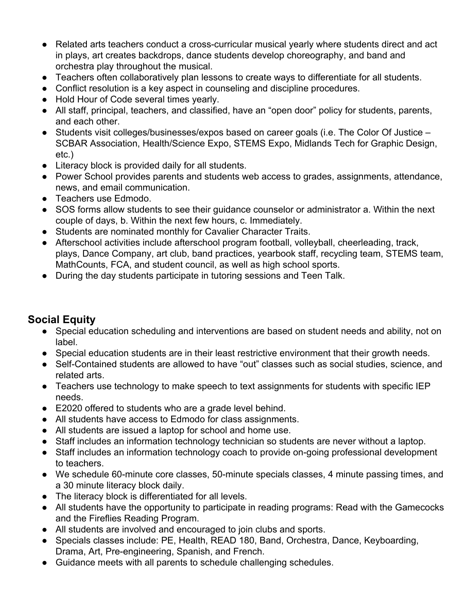- Related arts teachers conduct a cross-curricular musical yearly where students direct and act in plays, art creates backdrops, dance students develop choreography, and band and orchestra play throughout the musical.
- Teachers often collaboratively plan lessons to create ways to differentiate for all students.
- Conflict resolution is a key aspect in counseling and discipline procedures.
- Hold Hour of Code several times yearly.
- All staff, principal, teachers, and classified, have an "open door" policy for students, parents, and each other.
- Students visit colleges/businesses/expos based on career goals (i.e. The Color Of Justice SCBAR Association, Health/Science Expo, STEMS Expo, Midlands Tech for Graphic Design, etc.)
- Literacy block is provided daily for all students.
- Power School provides parents and students web access to grades, assignments, attendance, news, and email communication.
- Teachers use Edmodo.
- SOS forms allow students to see their guidance counselor or administrator a. Within the next couple of days, b. Within the next few hours, c. Immediately.
- Students are nominated monthly for Cavalier Character Traits.
- Afterschool activities include afterschool program football, volleyball, cheerleading, track, plays, Dance Company, art club, band practices, yearbook staff, recycling team, STEMS team, MathCounts, FCA, and student council, as well as high school sports.
- During the day students participate in tutoring sessions and Teen Talk.

### **Social Equity**

- Special education scheduling and interventions are based on student needs and ability, not on label.
- Special education students are in their least restrictive environment that their growth needs.
- Self-Contained students are allowed to have "out" classes such as social studies, science, and related arts.
- Teachers use technology to make speech to text assignments for students with specific IEP needs.
- E2020 offered to students who are a grade level behind.
- All students have access to Edmodo for class assignments.
- All students are issued a laptop for school and home use.
- Staff includes an information technology technician so students are never without a laptop.
- Staff includes an information technology coach to provide on-going professional development to teachers.
- We schedule 60-minute core classes, 50-minute specials classes, 4 minute passing times, and a 30 minute literacy block daily.
- The literacy block is differentiated for all levels.
- All students have the opportunity to participate in reading programs: Read with the Gamecocks and the Fireflies Reading Program.
- All students are involved and encouraged to join clubs and sports.
- Specials classes include: PE, Health, READ 180, Band, Orchestra, Dance, Keyboarding, Drama, Art, Pre-engineering, Spanish, and French.
- Guidance meets with all parents to schedule challenging schedules.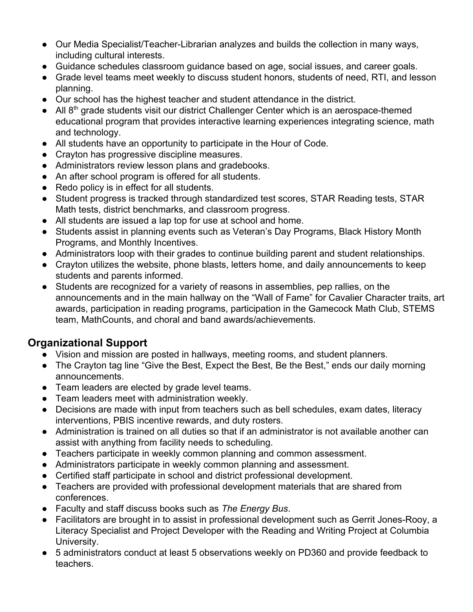- Our Media Specialist/Teacher-Librarian analyzes and builds the collection in many ways, including cultural interests.
- Guidance schedules classroom guidance based on age, social issues, and career goals.
- Grade level teams meet weekly to discuss student honors, students of need, RTI, and lesson planning.
- Our school has the highest teacher and student attendance in the district.
- All 8<sup>th</sup> grade students visit our district Challenger Center which is an aerospace-themed educational program that provides interactive learning experiences integrating science, math and technology.
- All students have an opportunity to participate in the Hour of Code.
- Crayton has progressive discipline measures.
- Administrators review lesson plans and gradebooks.
- An after school program is offered for all students.
- Redo policy is in effect for all students.
- Student progress is tracked through standardized test scores, STAR Reading tests, STAR Math tests, district benchmarks, and classroom progress.
- All students are issued a lap top for use at school and home.
- Students assist in planning events such as Veteran's Day Programs, Black History Month Programs, and Monthly Incentives.
- Administrators loop with their grades to continue building parent and student relationships.
- Crayton utilizes the website, phone blasts, letters home, and daily announcements to keep students and parents informed.
- Students are recognized for a variety of reasons in assemblies, pep rallies, on the announcements and in the main hallway on the "Wall of Fame" for Cavalier Character traits, art awards, participation in reading programs, participation in the Gamecock Math Club, STEMS team, MathCounts, and choral and band awards/achievements.

### **Organizational Support**

- Vision and mission are posted in hallways, meeting rooms, and student planners.
- The Crayton tag line "Give the Best, Expect the Best, Be the Best," ends our daily morning announcements.
- Team leaders are elected by grade level teams.
- Team leaders meet with administration weekly.
- Decisions are made with input from teachers such as bell schedules, exam dates, literacy interventions, PBIS incentive rewards, and duty rosters.
- Administration is trained on all duties so that if an administrator is not available another can assist with anything from facility needs to scheduling.
- Teachers participate in weekly common planning and common assessment.
- Administrators participate in weekly common planning and assessment.
- Certified staff participate in school and district professional development.
- Teachers are provided with professional development materials that are shared from conferences.
- Faculty and staff discuss books such as *The Energy Bus*.
- Facilitators are brought in to assist in professional development such as Gerrit Jones-Rooy, a Literacy Specialist and Project Developer with the Reading and Writing Project at Columbia University.
- 5 administrators conduct at least 5 observations weekly on PD360 and provide feedback to teachers.